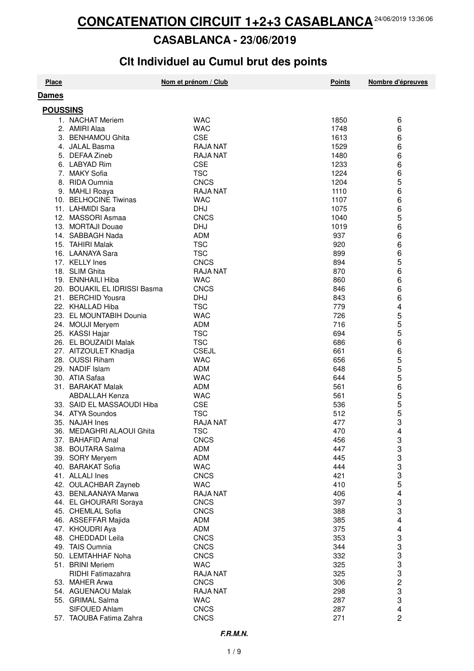#### **CASABLANCA - 23/06/2019**

## Clt Individuel au Cumul brut des points

| <b>Place</b>    |                                       | Nom et prénom / Club     | <b>Points</b> | Nombre d'épreuves       |
|-----------------|---------------------------------------|--------------------------|---------------|-------------------------|
| <b>Dames</b>    |                                       |                          |               |                         |
|                 |                                       |                          |               |                         |
| <b>POUSSINS</b> |                                       |                          |               |                         |
|                 | 1. NACHAT Meriem                      | <b>WAC</b>               | 1850          | 6                       |
|                 | 2. AMIRI Alaa                         | <b>WAC</b>               | 1748          | 6                       |
|                 | 3. BENHAMOU Ghita                     | <b>CSE</b>               | 1613          | 6                       |
|                 | 4. JALAL Basma                        | <b>RAJA NAT</b>          | 1529          | 6                       |
|                 | 5. DEFAA Zineb                        | <b>RAJA NAT</b>          | 1480          | 6                       |
|                 | 6. LABYAD Rim                         | <b>CSE</b>               | 1233          | 6                       |
|                 | 7. MAKY Sofia                         | <b>TSC</b>               | 1224          | 6                       |
|                 | 8. RIDA Oumnia                        | <b>CNCS</b>              | 1204          | 5                       |
|                 | 9. MAHLI Roaya                        | <b>RAJA NAT</b>          | 1110          | 6                       |
|                 | 10. BELHOCINE Tiwinas                 | <b>WAC</b>               | 1107          | 6                       |
|                 | 11. LAHMIDI Sara                      | <b>DHJ</b>               | 1075          | 6                       |
|                 | 12. MASSORI Asmaa                     | <b>CNCS</b>              | 1040          | 5                       |
|                 | 13. MORTAJI Douae<br>14. SABBAGH Nada | <b>DHJ</b><br><b>ADM</b> | 1019<br>937   | 6<br>6                  |
|                 | 15. TAHIRI Malak                      | <b>TSC</b>               | 920           | 6                       |
|                 | 16. LAANAYA Sara                      | <b>TSC</b>               | 899           | 6                       |
|                 | 17. KELLY Ines                        | <b>CNCS</b>              | 894           | 5                       |
|                 | 18. SLIM Ghita                        | <b>RAJA NAT</b>          | 870           | 6                       |
|                 | 19. ENNHAILI Hiba                     | <b>WAC</b>               | 860           | 6                       |
|                 | 20. BOUAKIL EL IDRISSI Basma          | <b>CNCS</b>              | 846           | 6                       |
|                 | 21. BERCHID Yousra                    | <b>DHJ</b>               | 843           | 6                       |
|                 | 22. KHALLAD Hiba                      | <b>TSC</b>               | 779           | 4                       |
|                 | 23. EL MOUNTABIH Dounia               | <b>WAC</b>               | 726           | 5                       |
|                 | 24. MOUJI Meryem                      | <b>ADM</b>               | 716           | 5                       |
|                 | 25. KASSI Hajar                       | <b>TSC</b>               | 694           | 5                       |
|                 | 26. EL BOUZAIDI Malak                 | <b>TSC</b>               | 686           | 6                       |
|                 | 27. AITZOULET Khadija                 | <b>CSEJL</b>             | 661           | 6                       |
|                 | 28. OUSSI Riham                       | <b>WAC</b>               | 656           | 5                       |
|                 | 29. NADIF Islam                       | <b>ADM</b>               | 648           | 5                       |
|                 | 30. ATIA Safaa                        | <b>WAC</b>               | 644           | 5                       |
|                 | 31. BARAKAT Malak                     | <b>ADM</b>               | 561           | 6                       |
|                 | <b>ABDALLAH Kenza</b>                 | <b>WAC</b>               | 561           | 5                       |
|                 | 33. SAID EL MASSAOUDI Hiba            | CSE                      | 536           | 5                       |
|                 | 34. ATYA Soundos                      | <b>TSC</b>               | 512           | 5                       |
|                 | 35. NAJAH Ines                        | <b>RAJA NAT</b>          | 477           | 3                       |
|                 | 36. MEDAGHRI ALAOUI Ghita             | <b>TSC</b>               | 470           | 4                       |
|                 | 37. BAHAFID Amal                      | <b>CNCS</b>              | 456           | 3                       |
|                 | 38. BOUTARA Salma                     | <b>ADM</b>               | 447           | 3                       |
|                 | 39. SORY Meryem                       | <b>ADM</b>               | 445           | 3                       |
|                 | 40. BARAKAT Sofia                     | <b>WAC</b>               | 444           | 3                       |
|                 | 41. ALLALI Ines                       | <b>CNCS</b>              | 421           | 3                       |
|                 | 42. OULACHBAR Zayneb                  | <b>WAC</b>               | 410           | 5                       |
|                 | 43. BENLAANAYA Marwa                  | <b>RAJA NAT</b>          | 406           | 4                       |
|                 | 44. EL GHOURARI Soraya                | <b>CNCS</b>              | 397           | 3                       |
|                 | 45. CHEMLAL Sofia                     | <b>CNCS</b>              | 388           | 3                       |
|                 | 46. ASSEFFAR Majida                   | <b>ADM</b>               | 385           | 4                       |
|                 | 47. KHOUDRI Aya                       | <b>ADM</b>               | 375           | 4                       |
|                 | 48. CHEDDADI Leila                    | <b>CNCS</b>              | 353           | 3                       |
|                 | 49. TAIS Oumnia                       | <b>CNCS</b>              | 344           | 3                       |
|                 | 50. LEMTAHHAF Noha                    | <b>CNCS</b>              | 332           | 3                       |
|                 | 51. BRINI Meriem                      | <b>WAC</b>               | 325           | 3                       |
|                 | RIDHI Fatimazahra                     | <b>RAJA NAT</b>          | 325           | 3                       |
|                 | 53. MAHER Arwa                        | <b>CNCS</b>              | 306           | $\overline{c}$          |
|                 | 54. AGUENAOU Malak                    | <b>RAJA NAT</b>          | 298           | 3                       |
|                 | 55. GRIMAL Salma                      | <b>WAC</b>               | 287           | 3                       |
|                 | SIFOUED Ahlam                         | <b>CNCS</b>              | 287           | $\overline{\mathbf{4}}$ |
|                 | 57. TAOUBA Fatima Zahra               | <b>CNCS</b>              | 271           | 2                       |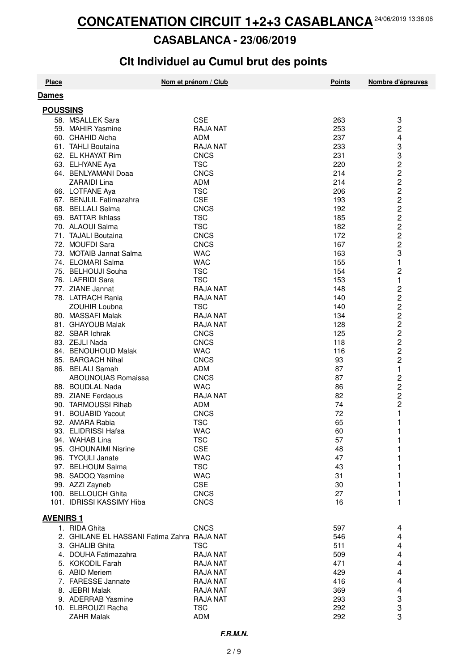#### **CASABLANCA - 23/06/2019**

## Clt Individuel au Cumul brut des points

| <b>Place</b>     |                                               | Nom et prénom / Club          | <b>Points</b> | Nombre d'épreuves                              |  |
|------------------|-----------------------------------------------|-------------------------------|---------------|------------------------------------------------|--|
| <b>Dames</b>     |                                               |                               |               |                                                |  |
| <b>POUSSINS</b>  |                                               |                               |               |                                                |  |
|                  | 58. MSALLEK Sara                              | <b>CSE</b>                    | 263           | 3                                              |  |
|                  | 59. MAHIR Yasmine                             | <b>RAJA NAT</b>               | 253           | 2                                              |  |
|                  |                                               | <b>ADM</b>                    | 237           |                                                |  |
|                  | 60. CHAHID Aicha<br>61. TAHLI Boutaina        | <b>RAJA NAT</b>               |               | 4<br>3                                         |  |
|                  | 62. EL KHAYAT Rim                             | <b>CNCS</b>                   | 233<br>231    | 3                                              |  |
|                  | 63. ELHYANE Aya                               | <b>TSC</b>                    | 220           | $\overline{c}$                                 |  |
|                  | 64. BENLYAMANI Doaa                           | CNCS                          | 214           | $\overline{c}$                                 |  |
|                  | ZARAIDI Lina                                  | <b>ADM</b>                    | 214           | $\overline{\mathbf{c}}$                        |  |
|                  |                                               | <b>TSC</b>                    |               | $\overline{c}$                                 |  |
|                  | 66. LOTFANE Aya<br>67. BENJLIL Fatimazahra    | <b>CSE</b>                    | 206<br>193    | $\overline{c}$                                 |  |
|                  | 68. BELLALI Selma                             | <b>CNCS</b>                   | 192           |                                                |  |
|                  | 69. BATTAR Ikhlass                            | <b>TSC</b>                    | 185           | 22222                                          |  |
|                  | 70. ALAOUI Salma                              | <b>TSC</b>                    | 182           |                                                |  |
|                  | 71. TAJALI Boutaina                           | <b>CNCS</b>                   | 172           |                                                |  |
|                  | 72. MOUFDI Sara                               | <b>CNCS</b>                   | 167           |                                                |  |
|                  | 73. MOTAIB Jannat Salma                       | <b>WAC</b>                    | 163           | 3                                              |  |
|                  | 74. ELOMARI Salma                             | <b>WAC</b>                    | 155           | 1                                              |  |
|                  | 75. BELHOUJI Souha                            | <b>TSC</b>                    | 154           | 2                                              |  |
|                  | 76. LAFRIDI Sara                              | <b>TSC</b>                    | 153           | 1                                              |  |
|                  | 77. ZIANE Jannat                              | <b>RAJA NAT</b>               | 148           | $\overline{\mathbf{c}}$                        |  |
|                  | 78. LATRACH Rania                             |                               |               |                                                |  |
|                  | <b>ZOUHIR Loubna</b>                          | <b>RAJA NAT</b><br><b>TSC</b> | 140<br>140    | $\overline{\mathbf{c}}$                        |  |
|                  | 80. MASSAFI Malak                             | <b>RAJA NAT</b>               | 134           |                                                |  |
|                  |                                               | <b>RAJA NAT</b>               |               | 2<br>2<br>2<br>2                               |  |
|                  | 81. GHAYOUB Malak<br>82. SBAR Ichrak          |                               | 128           |                                                |  |
|                  |                                               | <b>CNCS</b>                   | 125<br>118    | $\overline{c}$                                 |  |
|                  | 83. ZEJLI Nada                                | <b>CNCS</b>                   | 116           | $\overline{c}$                                 |  |
|                  | 84. BENOUHOUD Malak                           | <b>WAC</b>                    |               | $\overline{c}$                                 |  |
|                  | 85. BARGACH Nihal                             | <b>CNCS</b><br><b>ADM</b>     | 93<br>87      |                                                |  |
|                  | 86. BELALI Samah                              |                               | 87            | 1                                              |  |
|                  | <b>ABOUNOUAS Romaissa</b><br>88. BOUDLAL Nada | <b>CNCS</b><br><b>WAC</b>     | 86            | $\overline{\mathbf{c}}$                        |  |
|                  | 89. ZIANE Ferdaous                            | <b>RAJA NAT</b>               | 82            | $\begin{array}{c}\n 2 \\ 2 \\ 2\n \end{array}$ |  |
|                  | 90. TARMOUSSI Rihab                           | <b>ADM</b>                    | 74            |                                                |  |
|                  | 91. BOUABID Yacout                            | <b>CNCS</b>                   | 72            | 1                                              |  |
|                  | 92. AMARA Rabia                               | <b>TSC</b>                    | 65            | 1                                              |  |
|                  | 93. ELIDRISSI Hafsa                           | <b>WAC</b>                    | 60            | 1                                              |  |
|                  | 94. WAHAB Lina                                |                               |               |                                                |  |
|                  | 95. GHOUNAIMI Nisrine                         | TSC<br><b>CSE</b>             | 57<br>48      | 1                                              |  |
|                  | 96. TYOULI Janate                             | <b>WAC</b>                    | 47            |                                                |  |
|                  | 97. BELHOUM Salma                             | <b>TSC</b>                    | 43            |                                                |  |
|                  | 98. SADOQ Yasmine                             | <b>WAC</b>                    | 31            |                                                |  |
|                  | 99. AZZI Zayneb                               | <b>CSE</b>                    | 30            |                                                |  |
|                  | 100. BELLOUCH Ghita                           | <b>CNCS</b>                   | 27            |                                                |  |
|                  | 101. IDRISSI KASSIMY Hiba                     | <b>CNCS</b>                   | 16            | 1                                              |  |
|                  |                                               |                               |               |                                                |  |
| <b>AVENIRS 1</b> |                                               |                               |               |                                                |  |
|                  | 1. RIDA Ghita                                 | <b>CNCS</b>                   | 597           | 4                                              |  |
|                  | 2. GHILANE EL HASSANI Fatima Zahra RAJA NAT   |                               | 546           | 4                                              |  |
|                  | 3. GHALIB Ghita                               | <b>TSC</b>                    | 511           | 4                                              |  |
|                  | 4. DOUHA Fatimazahra                          | <b>RAJA NAT</b>               | 509           | 4                                              |  |
|                  | 5. KOKODIL Farah                              | <b>RAJA NAT</b>               | 471           | 4                                              |  |
|                  | 6. ABID Meriem                                | <b>RAJA NAT</b>               | 429           | 4                                              |  |
|                  | 7. FARESSE Jannate                            | <b>RAJA NAT</b>               | 416           | 4                                              |  |
|                  | 8. JEBRI Malak                                | <b>RAJA NAT</b>               | 369           | 4                                              |  |
|                  | 9. ADERRAB Yasmine                            | <b>RAJA NAT</b>               | 293           | 3                                              |  |
|                  | 10. ELBROUZI Racha                            | <b>TSC</b>                    | 292           | 3                                              |  |
|                  | <b>ZAHR Malak</b>                             | ADM                           | 292           | 3                                              |  |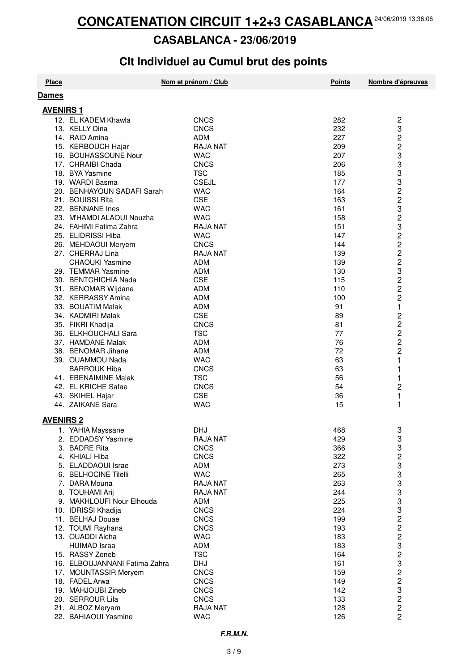#### **CASABLANCA - 23/06/2019**

## **Clt Individuel au Cumul brut des points**

| <b>Place</b>     |                                              | Nom et prénom / Club          | <b>Points</b> | Nombre d'épreuves       |
|------------------|----------------------------------------------|-------------------------------|---------------|-------------------------|
| <b>Dames</b>     |                                              |                               |               |                         |
|                  |                                              |                               |               |                         |
| <b>AVENIRS 1</b> |                                              |                               |               |                         |
|                  | 12. EL KADEM Khawla                          | <b>CNCS</b>                   | 282           | $\overline{\mathbf{c}}$ |
|                  | 13. KELLY Dina                               | <b>CNCS</b>                   | 232           | 3                       |
|                  | 14. RAID Amina                               | <b>ADM</b>                    | 227           | 2                       |
|                  | 15. KERBOUCH Hajar                           | <b>RAJA NAT</b>               | 209           | $\overline{c}$          |
|                  | 16. BOUHASSOUNE Nour                         | <b>WAC</b>                    | 207           | 3                       |
|                  | 17. CHRAIBI Chada                            | <b>CNCS</b>                   | 206           | 3                       |
|                  | 18. BYA Yasmine                              | <b>TSC</b>                    | 185           | 3                       |
|                  | 19. WARDI Basma                              | <b>CSEJL</b>                  | 177           | 3                       |
|                  | 20. BENHAYOUN SADAFI Sarah                   | <b>WAC</b>                    | 164           | 2                       |
|                  | 21. SOUISSI Rita                             | <b>CSE</b>                    | 163           | 2                       |
|                  | 22. BENNANE Ines                             | <b>WAC</b>                    | 161           | 3                       |
|                  | 23. M'HAMDI ALAOUI Nouzha                    | <b>WAC</b>                    | 158           | $\overline{c}$          |
|                  | 24. FAHIMI Fatima Zahra                      | <b>RAJA NAT</b>               | 151           | 3                       |
|                  | 25. ELIDRISSI Hiba                           | <b>WAC</b>                    | 147           | 2                       |
|                  | 26. MEHDAOUI Meryem                          | <b>CNCS</b>                   | 144           | 2                       |
|                  | 27. CHERRAJ Lina                             | <b>RAJA NAT</b><br><b>ADM</b> | 139           | 2                       |
|                  | <b>CHAOUKI Yasmine</b><br>29. TEMMAR Yasmine | <b>ADM</b>                    | 139<br>130    | $\overline{c}$<br>3     |
|                  | 30. BENTCHICHIA Nada                         | <b>CSE</b>                    | 115           | $\overline{c}$          |
|                  | 31. BENOMAR Wijdane                          | <b>ADM</b>                    | 110           | 2                       |
|                  | 32. KERRASSY Amina                           | <b>ADM</b>                    | 100           | 2                       |
|                  | 33. BOUATIM Malak                            | <b>ADM</b>                    | 91            | 1                       |
|                  | 34. KADMIRI Malak                            | <b>CSE</b>                    | 89            | 2                       |
|                  | 35. FIKRI Khadija                            | <b>CNCS</b>                   | 81            | $\overline{\mathbf{c}}$ |
|                  | 36. ELKHOUCHALI Sara                         | <b>TSC</b>                    | 77            | $\overline{c}$          |
|                  | 37. HAMDANE Malak                            | <b>ADM</b>                    | 76            | $\overline{c}$          |
|                  | 38. BENOMAR Jihane                           | <b>ADM</b>                    | 72            | 2                       |
|                  | 39. OUAMMOU Nada                             | <b>WAC</b>                    | 63            | 1                       |
|                  | <b>BARROUK Hiba</b>                          | <b>CNCS</b>                   | 63            | 1                       |
|                  | 41. EBENAIMINE Malak                         | <b>TSC</b>                    | 56            | 1                       |
|                  | 42. EL KRICHE Safae                          | <b>CNCS</b>                   | 54            | $\overline{c}$          |
|                  | 43. SKIHEL Hajar                             | <b>CSE</b>                    | 36            | 1                       |
|                  | 44. ZAIKANE Sara                             | <b>WAC</b>                    | 15            | 1                       |
|                  |                                              |                               |               |                         |
| <b>AVENIRS 2</b> |                                              |                               |               |                         |
|                  | 1. YAHIA Mayssane                            | <b>DHJ</b>                    | 468           | 3                       |
|                  | 2. EDDADSY Yasmine                           | <b>RAJA NAT</b>               | 429           | 3                       |
|                  | 3. BADRE Rita                                | <b>CNCS</b>                   | 366           | 3                       |
|                  | 4. KHIALI Hiba                               | <b>CNCS</b>                   | 322           | $\overline{c}$          |
|                  | 5. ELADDAOUI Israe                           | ADM                           | 273           | 3                       |
|                  | 6. BELHOCINE Tilelli                         | <b>WAC</b>                    | 265           | 3                       |
|                  | 7. DARA Mouna                                | <b>RAJA NAT</b>               | 263           | 3                       |
|                  | 8. TOUHAMI Arij                              | <b>RAJA NAT</b>               | 244           | 3                       |
|                  | 9. MAKHLOUFI Nour Elhouda                    | ADM                           | 225           | 3<br>3                  |
|                  | 10. IDRISSI Khadija                          | <b>CNCS</b>                   | 224           | $\overline{c}$          |
|                  | 11. BELHAJ Douae                             | <b>CNCS</b><br><b>CNCS</b>    | 199           | $\overline{c}$          |
|                  | 12. TOUMI Rayhana<br>13. OUADDI Aicha        | <b>WAC</b>                    | 193<br>183    |                         |
|                  | <b>HUIMAD Israa</b>                          | <b>ADM</b>                    | 183           | $\overline{\mathbf{c}}$ |
|                  | 15. RASSY Zeneb                              | <b>TSC</b>                    | 164           | 3<br>$\overline{c}$     |
|                  | 16. ELBOUJANNANI Fatima Zahra                | <b>DHJ</b>                    | 161           | 3                       |
|                  | 17. MOUNTASSIR Meryem                        | <b>CNCS</b>                   | 159           | $\overline{c}$          |
|                  | 18. FADEL Arwa                               | <b>CNCS</b>                   | 149           | $\overline{c}$          |
|                  | 19. MAHJOUBI Zineb                           | <b>CNCS</b>                   | 142           | 3                       |
|                  | 20. SERROUR Lila                             | <b>CNCS</b>                   | 133           | $\overline{\mathbf{c}}$ |
|                  | 21. ALBOZ Meryam                             | <b>RAJA NAT</b>               | 128           |                         |
|                  | 22. BAHIAOUI Yasmine                         | <b>WAC</b>                    | 126           | $\frac{2}{2}$           |
|                  |                                              |                               |               |                         |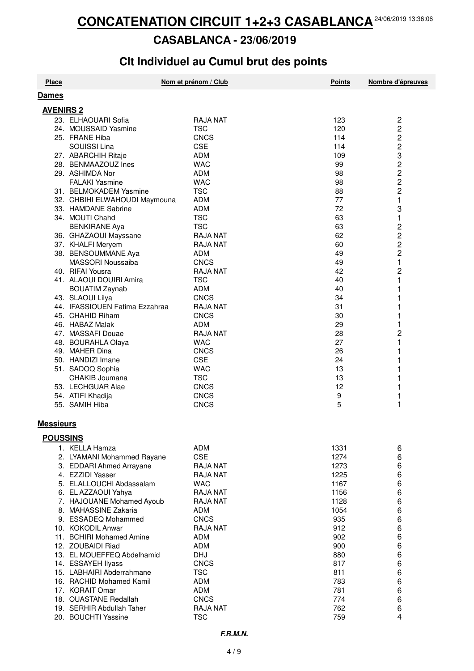#### **CASABLANCA - 23/06/2019**

## Clt Individuel au Cumul brut des points

| <b>Place</b>     |                                | Nom et prénom / Club | <b>Points</b> | Nombre d'épreuves       |
|------------------|--------------------------------|----------------------|---------------|-------------------------|
| <b>Dames</b>     |                                |                      |               |                         |
| <b>AVENIRS 2</b> |                                |                      |               |                         |
|                  | 23. ELHAOUARI Sofia            | <b>RAJA NAT</b>      | 123           | $\sqrt{2}$              |
|                  | 24. MOUSSAID Yasmine           | <b>TSC</b>           | 120           | $\overline{c}$          |
|                  | 25. FRANE Hiba                 | <b>CNCS</b>          | 114           | $\overline{c}$          |
|                  | SOUISSI Lina                   | <b>CSE</b>           | 114           | $\overline{\mathbf{c}}$ |
|                  | 27. ABARCHIH Ritaje            | <b>ADM</b>           | 109           | 3                       |
|                  | 28. BENMAAZOUZ Ines            | <b>WAC</b>           | 99            | $\overline{c}$          |
|                  | 29. ASHIMDA Nor                | <b>ADM</b>           | 98            | 2                       |
|                  | <b>FALAKI Yasmine</b>          | <b>WAC</b>           | 98            | 2                       |
|                  | 31. BELMOKADEM Yasmine         | <b>TSC</b>           | 88            | $\overline{c}$          |
|                  | 32. CHBIHI ELWAHOUDI Maymouna  | <b>ADM</b>           | 77            | $\mathbf{1}$            |
|                  | 33. HAMDANE Sabrine            | <b>ADM</b>           | 72            | 3                       |
|                  | 34. MOUTI Chahd                | <b>TSC</b>           | 63            | 1                       |
|                  | <b>BENKIRANE Aya</b>           | <b>TSC</b>           | 63            |                         |
|                  | 36. GHAZAOUI Mayssane          | <b>RAJA NAT</b>      | 62            | 2<br>2<br>2<br>2        |
|                  | 37. KHALFI Meryem              | RAJA NAT             | 60            |                         |
|                  | 38. BENSOUMMANE Aya            | <b>ADM</b>           | 49            |                         |
|                  | MASSORI Noussaiba              | <b>CNCS</b>          | 49            | $\mathbf{1}$            |
|                  | 40. RIFAI Yousra               | <b>RAJA NAT</b>      | 42            | 2                       |
|                  | 41. ALAOUI DOUIRI Amira        | <b>TSC</b>           | 40            | 1                       |
|                  | <b>BOUATIM Zaynab</b>          | <b>ADM</b>           | 40            | 1                       |
|                  | 43. SLAOUI Lilya               | <b>CNCS</b>          | 34            | 1                       |
|                  | 44. IFASSIOUEN Fatima Ezzahraa | <b>RAJA NAT</b>      | 31            | 1                       |
|                  | 45. CHAHID Riham               | <b>CNCS</b>          | 30            | 1                       |
|                  | 46. HABAZ Malak                | <b>ADM</b>           | 29            | 1                       |
|                  | 47. MASSAFI Douae              | <b>RAJA NAT</b>      | 28            | 2                       |
|                  | 48. BOURAHLA Olaya             | <b>WAC</b>           | 27            | 1                       |
|                  | 49. MAHER Dina                 | <b>CNCS</b>          | 26            | 1                       |
|                  | 50. HANDIZI Imane              | <b>CSE</b>           | 24            | 1                       |
|                  | 51. SADOQ Sophia               | <b>WAC</b>           | 13            | 1                       |
|                  | CHAKIB Joumana                 | <b>TSC</b>           | 13            | 1                       |
|                  | 53. LECHGUAR Alae              | <b>CNCS</b>          | 12            | 1                       |
|                  | 54. ATIFI Khadija              | <b>CNCS</b>          | 9             | 1                       |
|                  | 55. SAMIH Hiba                 | <b>CNCS</b>          | 5             | 1                       |
|                  |                                |                      |               |                         |
| <b>Messieurs</b> |                                |                      |               |                         |
| <b>POUSSINS</b>  |                                |                      |               |                         |
|                  | 1. KELLA Hamza                 | <b>ADM</b>           | 1331          | 6                       |
|                  | 2. LYAMANI Mohammed Rayane     | <b>CSE</b>           | 1274          | 6                       |
|                  | 3. EDDARI Ahmed Arrayane       | <b>RAJA NAT</b>      | 1273          | 6                       |
|                  | 4. EZZIDI Yasser               | <b>RAJA NAT</b>      | 1225          | 6                       |
|                  | 5. ELALLOUCHI Abdassalam       | <b>WAC</b>           | 1167          | 6                       |
|                  | 6. EL AZZAOUI Yahya            | <b>RAJA NAT</b>      | 1156          | 6                       |
|                  | 7. HAJOUANE Mohamed Ayoub      | <b>RAJA NAT</b>      | 1128          | 6                       |
|                  | 8. MAHASSINE Zakaria           | ADM                  | 1054          | 6                       |
|                  | 9. ESSADEQ Mohammed            | <b>CNCS</b>          | 935           | 6                       |
|                  | 10. KOKODIL Anwar              | <b>RAJA NAT</b>      | 912           | 6                       |
|                  | 11. BCHIRI Mohamed Amine       | <b>ADM</b>           | 902           | 6                       |
|                  | 12. ZOUBAIDI Riad              | <b>ADM</b>           | 900           | 6                       |
|                  | 13. EL MOUEFFEQ Abdelhamid     | <b>DHJ</b>           | 880           | 6                       |
|                  | 14. ESSAYEH Ilyass             | <b>CNCS</b>          | 817           | 6                       |
|                  | 15. LABHAIRI Abderrahmane      | <b>TSC</b>           | 811           | 6                       |
|                  | 16. RACHID Mohamed Kamil       | <b>ADM</b>           | 783           | 6                       |
|                  | 17. KORAIT Omar                | <b>ADM</b>           | 781           | 6                       |
|                  | 18. OUASTANE Redallah          | <b>CNCS</b>          | 774           | 6                       |
|                  | 19. SERHIR Abdullah Taher      | <b>RAJA NAT</b>      | 762           | 6                       |
|                  | 20. BOUCHTI Yassine            | <b>TSC</b>           | 759           | 4                       |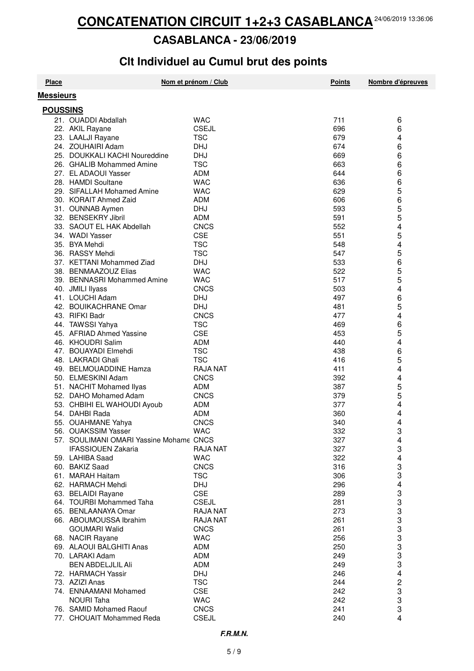#### **CASABLANCA - 23/06/2019**

## **Clt Individuel au Cumul brut des points**

| <b>Place</b>     |                                                    | Nom et prénom / Club     | <b>Points</b> | Nombre d'épreuves |
|------------------|----------------------------------------------------|--------------------------|---------------|-------------------|
| <b>Messieurs</b> |                                                    |                          |               |                   |
| <b>POUSSINS</b>  |                                                    |                          |               |                   |
|                  | 21. OUADDI Abdallah                                | <b>WAC</b>               | 711           | 6                 |
|                  | 22. AKIL Rayane                                    | <b>CSEJL</b>             | 696           | 6                 |
|                  |                                                    | <b>TSC</b>               | 679           | 4                 |
|                  | 23. LAALJI Rayane                                  |                          | 674           |                   |
|                  | 24. ZOUHAIRI Adam<br>25. DOUKKALI KACHI Noureddine | <b>DHJ</b><br><b>DHJ</b> |               | 6                 |
|                  |                                                    |                          | 669           | 6                 |
|                  | 26. GHALIB Mohammed Amine                          | <b>TSC</b>               | 663           | 6                 |
|                  | 27. EL ADAOUI Yasser                               | <b>ADM</b>               | 644           | 6                 |
|                  | 28. HAMDI Soultane                                 | <b>WAC</b>               | 636           | 6                 |
|                  | 29. SIFALLAH Mohamed Amine                         | <b>WAC</b>               | 629           | 5                 |
|                  | 30. KORAIT Ahmed Zaid                              | <b>ADM</b>               | 606           | 6                 |
|                  | 31. OUNNAB Aymen                                   | <b>DHJ</b>               | 593           | 5                 |
|                  | 32. BENSEKRY Jibril                                | <b>ADM</b>               | 591           | 5                 |
|                  | 33. SAOUT EL HAK Abdellah                          | <b>CNCS</b>              | 552           | 4                 |
|                  | 34. WADI Yasser                                    | <b>CSE</b>               | 551           | 5                 |
|                  | 35. BYA Mehdi                                      | <b>TSC</b>               | 548           | 4                 |
|                  | 36. RASSY Mehdi                                    | <b>TSC</b>               | 547           | 5                 |
|                  | 37. KETTANI Mohammed Ziad                          | <b>DHJ</b>               | 533           | 6                 |
|                  | 38. BENMAAZOUZ Elias                               | <b>WAC</b>               | 522           | 5                 |
|                  | 39. BENNASRI Mohammed Amine                        | <b>WAC</b>               | 517           | 5                 |
|                  | 40. JMILI Ilyass                                   | <b>CNCS</b>              | 503           | 4                 |
|                  | 41. LOUCHI Adam                                    | <b>DHJ</b>               | 497           | 6                 |
|                  | 42. BOUIKACHRANE Omar                              | <b>DHJ</b>               | 481           | 5                 |
|                  | 43. RIFKI Badr                                     | <b>CNCS</b>              | 477           | 4                 |
|                  | 44. TAWSSI Yahya                                   | TSC                      | 469           | 6                 |
|                  | 45. AFRIAD Ahmed Yassine                           | <b>CSE</b>               | 453           | 5                 |
|                  | 46. KHOUDRI Salim                                  | <b>ADM</b>               | 440           | 4                 |
|                  | 47. BOUAYADI Elmehdi                               | <b>TSC</b>               | 438           | 6                 |
|                  | 48. LAKRADI Ghali                                  | <b>TSC</b>               | 416           | 5                 |
|                  | 49. BELMOUADDINE Hamza                             | <b>RAJA NAT</b>          | 411           | 4                 |
|                  | 50. ELMESKINI Adam                                 | <b>CNCS</b>              | 392           | 4                 |
|                  | 51. NACHIT Mohamed Ilyas                           | ADM                      | 387           | 5                 |
|                  | 52. DAHO Mohamed Adam                              | <b>CNCS</b>              | 379           | 5                 |
|                  | 53. CHBIHI EL WAHOUDI Ayoub                        | ADM                      | 377           | 4                 |
|                  | 54. DAHBI Rada                                     | <b>ADM</b>               | 360           | 4                 |
|                  | 55. OUAHMANE Yahya                                 | <b>CNCS</b>              | 340           | 4                 |
|                  | 56. OUAKSSIM Yasser                                | <b>WAC</b>               | 332           | R                 |
|                  |                                                    |                          |               |                   |
|                  | 57. SOULIMANI OMARI Yassine Mohame CNCS            |                          | 327           | 4                 |
|                  | <b>IFASSIOUEN Zakaria</b>                          | <b>RAJA NAT</b>          | 327           | 3                 |
|                  | 59. LAHIBA Saad                                    | <b>WAC</b>               | 322           | 4                 |
|                  | 60. BAKIZ Saad                                     | <b>CNCS</b>              | 316           | 3                 |
|                  | 61. MARAH Haitam                                   | <b>TSC</b>               | 306           | 3                 |
|                  | 62. HARMACH Mehdi                                  | <b>DHJ</b>               | 296           | 4                 |
|                  | 63. BELAIDI Rayane                                 | <b>CSE</b>               | 289           | 3                 |
|                  | 64. TOURBI Mohammed Taha                           | <b>CSEJL</b>             | 281           | 3                 |
|                  | 65. BENLAANAYA Omar                                | <b>RAJA NAT</b>          | 273           | 3                 |
|                  | 66. ABOUMOUSSA Ibrahim                             | <b>RAJA NAT</b>          | 261           | 3                 |
|                  | <b>GOUMARI Walid</b>                               | <b>CNCS</b>              | 261           | 3                 |
|                  | 68. NACIR Rayane                                   | <b>WAC</b>               | 256           | 3                 |
|                  | 69. ALAOUI BALGHITI Anas                           | ADM                      | 250           | 3                 |
|                  | 70. LARAKI Adam                                    | ADM                      | 249           | 3                 |
|                  | <b>BEN ABDELJLIL Ali</b>                           | <b>ADM</b>               | 249           | 3                 |
|                  | 72. HARMACH Yassir                                 | <b>DHJ</b>               | 246           | 4                 |
|                  | 73. AZIZI Anas                                     | <b>TSC</b>               | 244           | 2                 |
|                  | 74. ENNAAMANI Mohamed                              | <b>CSE</b>               | 242           | 3                 |
|                  | <b>NOURI Taha</b>                                  | <b>WAC</b>               | 242           | 3                 |
|                  | 76. SAMID Mohamed Raouf                            | <b>CNCS</b>              | 241           | 3                 |
|                  | 77. CHOUAIT Mohammed Reda                          | <b>CSEJL</b>             | 240           | 4                 |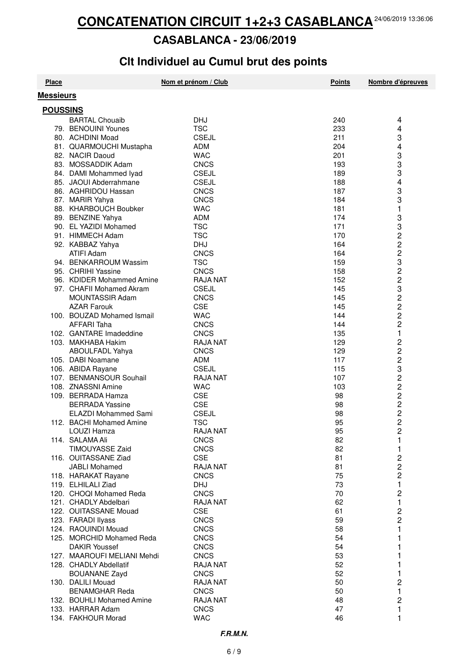#### **CASABLANCA - 23/06/2019**

## **Clt Individuel au Cumul brut des points**

| <b>Place</b>     |                             | Nom et prénom / Club | <b>Points</b> | Nombre d'épreuves       |  |
|------------------|-----------------------------|----------------------|---------------|-------------------------|--|
| <b>Messieurs</b> |                             |                      |               |                         |  |
| <b>POUSSINS</b>  |                             |                      |               |                         |  |
|                  | <b>BARTAL Chouaib</b>       | <b>DHJ</b>           | 240           | 4                       |  |
|                  | 79. BENOUINI Younes         | <b>TSC</b>           | 233           | 4                       |  |
|                  | 80. ACHDINI Moad            | <b>CSEJL</b>         | 211           | 3                       |  |
|                  | 81. QUARMOUCHI Mustapha     | <b>ADM</b>           | 204           | 4                       |  |
|                  | 82. NACIR Daoud             | <b>WAC</b>           | 201           | 3                       |  |
|                  | 83. MOSSADDIK Adam          | <b>CNCS</b>          | 193           | 3                       |  |
|                  | 84. DAMI Mohammed Iyad      | <b>CSEJL</b>         | 189           | 3                       |  |
|                  | 85. JAOUI Abderrahmane      | <b>CSEJL</b>         | 188           | 4                       |  |
|                  | 86. AGHRIDOU Hassan         | <b>CNCS</b>          | 187           | 3                       |  |
|                  | 87. MARIR Yahya             | <b>CNCS</b>          | 184           | 3                       |  |
|                  | 88. KHARBOUCH Boubker       | <b>WAC</b>           | 181           | 1                       |  |
|                  | 89. BENZINE Yahya           | <b>ADM</b>           | 174           | 3                       |  |
|                  | 90. EL YAZIDI Mohamed       | <b>TSC</b>           | 171           | 3                       |  |
|                  | 91. HIMMECH Adam            | <b>TSC</b>           | 170           | 2                       |  |
|                  | 92. KABBAZ Yahya            | <b>DHJ</b>           | 164           | 2                       |  |
|                  | ATIFI Adam                  | <b>CNCS</b>          | 164           | 2                       |  |
|                  | 94. BENKARROUM Wassim       | <b>TSC</b>           | 159           | 3                       |  |
|                  | 95. CHRIHI Yassine          | <b>CNCS</b>          | 158           | $\overline{c}$          |  |
|                  | 96. KDIDER Mohammed Amine   | <b>RAJA NAT</b>      | 152           | $\overline{c}$          |  |
|                  | 97. CHAFII Mohamed Akram    |                      | 145           |                         |  |
|                  |                             | <b>CSEJL</b>         |               | 3                       |  |
|                  | MOUNTASSIR Adam             | <b>CNCS</b>          | 145           | $\overline{\mathbf{c}}$ |  |
|                  | <b>AZAR Farouk</b>          | <b>CSE</b>           | 145           | 2<br>2                  |  |
|                  | 100. BOUZAD Mohamed Ismail  | <b>WAC</b>           | 144           |                         |  |
|                  | AFFARI Taha                 | <b>CNCS</b>          | 144           | $\overline{c}$          |  |
|                  | 102. GANTARE Imadeddine     | <b>CNCS</b>          | 135           | 1                       |  |
|                  | 103. MAKHABA Hakim          | <b>RAJA NAT</b>      | 129           | $\overline{\mathbf{c}}$ |  |
|                  | ABOULFADL Yahya             | <b>CNCS</b>          | 129           | $\overline{c}$          |  |
|                  | 105. DABI Noamane           | <b>ADM</b>           | 117           | $\overline{\mathbf{c}}$ |  |
|                  | 106. ABIDA Rayane           | <b>CSEJL</b>         | 115           | 322222                  |  |
|                  | 107. BENMANSOUR Souhail     | <b>RAJA NAT</b>      | 107           |                         |  |
|                  | 108. ZNASSNI Amine          | <b>WAC</b>           | 103           |                         |  |
|                  | 109. BERRADA Hamza          | <b>CSE</b>           | 98            |                         |  |
|                  | <b>BERRADA Yassine</b>      | <b>CSE</b>           | 98            |                         |  |
|                  | <b>ELAZDI Mohammed Sami</b> | <b>CSEJL</b>         | 98            |                         |  |
|                  | 112. BACHI Mohamed Amine    | <b>TSC</b>           | 95            |                         |  |
|                  | LOUZI Hamza                 | RAJA NAT             | 95            | っ                       |  |
|                  | 114. SALAMA Ali             | <b>CNCS</b>          | 82            | 1                       |  |
|                  | <b>TIMOUYASSE Zaid</b>      | <b>CNCS</b>          | 82            | 1                       |  |
|                  | 116. OUITASSANE Ziad        | <b>CSE</b>           | 81            | 2                       |  |
|                  | JABLI Mohamed               | <b>RAJA NAT</b>      | 81            | 2                       |  |
|                  | 118. HARAKAT Rayane         | <b>CNCS</b>          | 75            | $\overline{c}$          |  |
|                  | 119. ELHILALI Ziad          | <b>DHJ</b>           | 73            | 1                       |  |
|                  | 120. CHOQI Mohamed Reda     | <b>CNCS</b>          | 70            | 2                       |  |
|                  | 121. CHADLY Abdelbari       | <b>RAJA NAT</b>      | 62            | 1                       |  |
|                  | 122. OUITASSANE Mouad       | <b>CSE</b>           | 61            | 2                       |  |
|                  | 123. FARADI Ilyass          | <b>CNCS</b>          | 59            | 2                       |  |
|                  | 124. RAOUINDI Mouad         | <b>CNCS</b>          | 58            | 1                       |  |
|                  | 125. MORCHID Mohamed Reda   | <b>CNCS</b>          | 54            |                         |  |
|                  | <b>DAKIR Youssef</b>        | <b>CNCS</b>          | 54            |                         |  |
|                  | 127. MAAROUFI MELIANI Mehdi | <b>CNCS</b>          | 53            |                         |  |
|                  | 128. CHADLY Abdellatif      | <b>RAJA NAT</b>      | 52            |                         |  |
|                  | <b>BOUANANE Zayd</b>        | <b>CNCS</b>          | 52            |                         |  |
|                  | 130. DALILI Mouad           | <b>RAJA NAT</b>      | 50            | 2                       |  |
|                  | <b>BENAMGHAR Reda</b>       | <b>CNCS</b>          | 50            | 1                       |  |
|                  | 132. BOUHLI Mohamed Amine   | <b>RAJA NAT</b>      | 48            | 2                       |  |
|                  | 133. HARRAR Adam            | <b>CNCS</b>          | 47            | 1                       |  |
|                  | 134. FAKHOUR Morad          | <b>WAC</b>           | 46            | 1                       |  |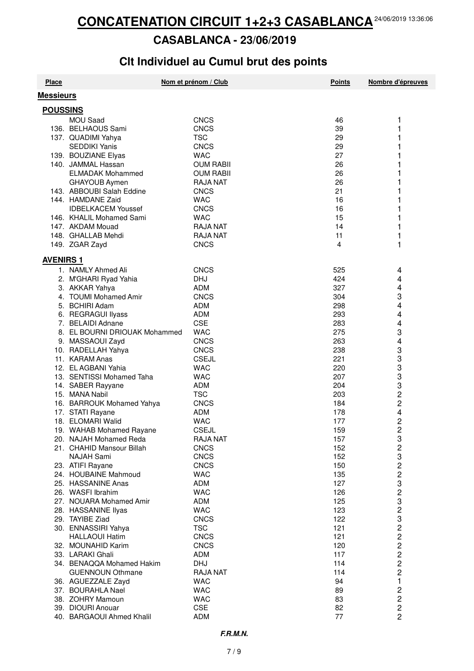#### **CASABLANCA - 23/06/2019**

## **Clt Individuel au Cumul brut des points**

| <b>Messieurs</b><br><b>POUSSINS</b><br><b>MOU Saad</b><br><b>CNCS</b><br>46<br>1<br>136. BELHAOUS Sami<br><b>CNCS</b><br>39<br>1<br>1<br><b>TSC</b><br>29<br>137. QUADIMI Yahya<br><b>SEDDIKI Yanis</b><br><b>CNCS</b><br>29<br>27<br>139. BOUZIANE Elyas<br><b>WAC</b><br>140. JAMMAL Hassan<br><b>OUM RABII</b><br>26<br><b>ELMADAK Mohammed</b><br><b>OUM RABII</b><br>26<br>GHAYOUB Aymen<br><b>RAJA NAT</b><br>26<br>1<br>143. ABBOUBI Salah Eddine<br><b>CNCS</b><br>21<br>1<br>144. HAMDANE Zaid<br><b>WAC</b><br>16<br>1<br><b>IDBELKACEM Youssef</b><br>16<br><b>CNCS</b><br>1<br>146. KHALIL Mohamed Sami<br><b>WAC</b><br>15<br>1<br>147. AKDAM Mouad<br><b>RAJA NAT</b><br>14<br>11<br>1<br>148. GHALLAB Mehdi<br><b>RAJA NAT</b><br>4<br>1<br>149. ZGAR Zayd<br><b>CNCS</b><br><b>AVENIRS 1</b><br>1. NAMLY Ahmed Ali<br><b>CNCS</b><br>525<br>4<br>2. M'GHARI Ryad Yahia<br><b>DHJ</b><br>424<br>4<br>4<br>3. AKKAR Yahya<br><b>ADM</b><br>327<br>3<br>4. TOUMI Mohamed Amir<br><b>CNCS</b><br>304<br>4<br>5. BCHIRI Adam<br><b>ADM</b><br>298<br>4<br>6. REGRAGUI Ilyass<br><b>ADM</b><br>293<br>4<br><b>CSE</b><br>7. BELAIDI Adnane<br>283<br>3<br>8. EL BOURNI DRIOUAK Mohammed<br><b>WAC</b><br>275<br>4<br>9. MASSAOUI Zayd<br><b>CNCS</b><br>263<br>3<br>3<br>3<br>10. RADELLAH Yahya<br><b>CNCS</b><br>238<br>11. KARAM Anas<br><b>CSEJL</b><br>221<br>12. EL AGBANI Yahia<br><b>WAC</b><br>220<br>$\frac{3}{3}$<br>13. SENTISSI Mohamed Taha<br><b>WAC</b><br>207<br>14. SABER Rayyane<br><b>ADM</b><br>204<br>$\overline{\mathbf{c}}$<br>15. MANA Nabil<br><b>TSC</b><br>203<br>2<br>16. BARROUK Mohamed Yahya<br><b>CNCS</b><br>184<br>4<br>17. STATI Rayane<br>ADM<br>178<br>$\overline{c}$<br>18. ELOMARI Walid<br><b>WAC</b><br>177<br>2<br><b>CSEJL</b><br>19. WAHAB Mohamed Rayane<br>159<br>32323232<br>20. NAJAH Mohamed Reda<br><b>RAJA NAT</b><br>157<br>21. CHAHID Mansour Billah<br><b>CNCS</b><br>152<br><b>NAJAH Sami</b><br>152<br><b>CNCS</b><br>23. ATIFI Rayane<br><b>CNCS</b><br>150<br>24. HOUBAINE Mahmoud<br><b>WAC</b><br>135<br>25. HASSANINE Anas<br>ADM<br>127<br>26. WASFI Ibrahim<br><b>WAC</b><br>126<br>$\frac{3}{2}$<br>27. NOUARA Mohamed Amir<br>ADM<br>125<br><b>WAC</b><br>28. HASSANINE Ilyas<br>123<br>3222222<br>29. TAYIBE Ziad<br><b>CNCS</b><br>122<br><b>TSC</b><br>30. ENNASSIRI Yahya<br>121<br><b>HALLAOUI Hatim</b><br><b>CNCS</b><br>121<br>32. MOUNAHID Karim<br><b>CNCS</b><br>120<br>33. LARAKI Ghali<br>ADM<br>117<br>34. BENAQQA Mohamed Hakim<br><b>DHJ</b><br>114 | <b>Place</b> | Nom et prénom / Club | <b>Points</b> | Nombre d'épreuves |
|-------------------------------------------------------------------------------------------------------------------------------------------------------------------------------------------------------------------------------------------------------------------------------------------------------------------------------------------------------------------------------------------------------------------------------------------------------------------------------------------------------------------------------------------------------------------------------------------------------------------------------------------------------------------------------------------------------------------------------------------------------------------------------------------------------------------------------------------------------------------------------------------------------------------------------------------------------------------------------------------------------------------------------------------------------------------------------------------------------------------------------------------------------------------------------------------------------------------------------------------------------------------------------------------------------------------------------------------------------------------------------------------------------------------------------------------------------------------------------------------------------------------------------------------------------------------------------------------------------------------------------------------------------------------------------------------------------------------------------------------------------------------------------------------------------------------------------------------------------------------------------------------------------------------------------------------------------------------------------------------------------------------------------------------------------------------------------------------------------------------------------------------------------------------------------------------------------------------------------------------------------------------------------------------------------------------------------------------------------------------------------------------------------------------------------------------------------------------------------------------------------------------------------------------------|--------------|----------------------|---------------|-------------------|
|                                                                                                                                                                                                                                                                                                                                                                                                                                                                                                                                                                                                                                                                                                                                                                                                                                                                                                                                                                                                                                                                                                                                                                                                                                                                                                                                                                                                                                                                                                                                                                                                                                                                                                                                                                                                                                                                                                                                                                                                                                                                                                                                                                                                                                                                                                                                                                                                                                                                                                                                                 |              |                      |               |                   |
|                                                                                                                                                                                                                                                                                                                                                                                                                                                                                                                                                                                                                                                                                                                                                                                                                                                                                                                                                                                                                                                                                                                                                                                                                                                                                                                                                                                                                                                                                                                                                                                                                                                                                                                                                                                                                                                                                                                                                                                                                                                                                                                                                                                                                                                                                                                                                                                                                                                                                                                                                 |              |                      |               |                   |
|                                                                                                                                                                                                                                                                                                                                                                                                                                                                                                                                                                                                                                                                                                                                                                                                                                                                                                                                                                                                                                                                                                                                                                                                                                                                                                                                                                                                                                                                                                                                                                                                                                                                                                                                                                                                                                                                                                                                                                                                                                                                                                                                                                                                                                                                                                                                                                                                                                                                                                                                                 |              |                      |               |                   |
|                                                                                                                                                                                                                                                                                                                                                                                                                                                                                                                                                                                                                                                                                                                                                                                                                                                                                                                                                                                                                                                                                                                                                                                                                                                                                                                                                                                                                                                                                                                                                                                                                                                                                                                                                                                                                                                                                                                                                                                                                                                                                                                                                                                                                                                                                                                                                                                                                                                                                                                                                 |              |                      |               |                   |
|                                                                                                                                                                                                                                                                                                                                                                                                                                                                                                                                                                                                                                                                                                                                                                                                                                                                                                                                                                                                                                                                                                                                                                                                                                                                                                                                                                                                                                                                                                                                                                                                                                                                                                                                                                                                                                                                                                                                                                                                                                                                                                                                                                                                                                                                                                                                                                                                                                                                                                                                                 |              |                      |               |                   |
|                                                                                                                                                                                                                                                                                                                                                                                                                                                                                                                                                                                                                                                                                                                                                                                                                                                                                                                                                                                                                                                                                                                                                                                                                                                                                                                                                                                                                                                                                                                                                                                                                                                                                                                                                                                                                                                                                                                                                                                                                                                                                                                                                                                                                                                                                                                                                                                                                                                                                                                                                 |              |                      |               |                   |
|                                                                                                                                                                                                                                                                                                                                                                                                                                                                                                                                                                                                                                                                                                                                                                                                                                                                                                                                                                                                                                                                                                                                                                                                                                                                                                                                                                                                                                                                                                                                                                                                                                                                                                                                                                                                                                                                                                                                                                                                                                                                                                                                                                                                                                                                                                                                                                                                                                                                                                                                                 |              |                      |               |                   |
|                                                                                                                                                                                                                                                                                                                                                                                                                                                                                                                                                                                                                                                                                                                                                                                                                                                                                                                                                                                                                                                                                                                                                                                                                                                                                                                                                                                                                                                                                                                                                                                                                                                                                                                                                                                                                                                                                                                                                                                                                                                                                                                                                                                                                                                                                                                                                                                                                                                                                                                                                 |              |                      |               |                   |
|                                                                                                                                                                                                                                                                                                                                                                                                                                                                                                                                                                                                                                                                                                                                                                                                                                                                                                                                                                                                                                                                                                                                                                                                                                                                                                                                                                                                                                                                                                                                                                                                                                                                                                                                                                                                                                                                                                                                                                                                                                                                                                                                                                                                                                                                                                                                                                                                                                                                                                                                                 |              |                      |               |                   |
|                                                                                                                                                                                                                                                                                                                                                                                                                                                                                                                                                                                                                                                                                                                                                                                                                                                                                                                                                                                                                                                                                                                                                                                                                                                                                                                                                                                                                                                                                                                                                                                                                                                                                                                                                                                                                                                                                                                                                                                                                                                                                                                                                                                                                                                                                                                                                                                                                                                                                                                                                 |              |                      |               |                   |
|                                                                                                                                                                                                                                                                                                                                                                                                                                                                                                                                                                                                                                                                                                                                                                                                                                                                                                                                                                                                                                                                                                                                                                                                                                                                                                                                                                                                                                                                                                                                                                                                                                                                                                                                                                                                                                                                                                                                                                                                                                                                                                                                                                                                                                                                                                                                                                                                                                                                                                                                                 |              |                      |               |                   |
|                                                                                                                                                                                                                                                                                                                                                                                                                                                                                                                                                                                                                                                                                                                                                                                                                                                                                                                                                                                                                                                                                                                                                                                                                                                                                                                                                                                                                                                                                                                                                                                                                                                                                                                                                                                                                                                                                                                                                                                                                                                                                                                                                                                                                                                                                                                                                                                                                                                                                                                                                 |              |                      |               |                   |
|                                                                                                                                                                                                                                                                                                                                                                                                                                                                                                                                                                                                                                                                                                                                                                                                                                                                                                                                                                                                                                                                                                                                                                                                                                                                                                                                                                                                                                                                                                                                                                                                                                                                                                                                                                                                                                                                                                                                                                                                                                                                                                                                                                                                                                                                                                                                                                                                                                                                                                                                                 |              |                      |               |                   |
|                                                                                                                                                                                                                                                                                                                                                                                                                                                                                                                                                                                                                                                                                                                                                                                                                                                                                                                                                                                                                                                                                                                                                                                                                                                                                                                                                                                                                                                                                                                                                                                                                                                                                                                                                                                                                                                                                                                                                                                                                                                                                                                                                                                                                                                                                                                                                                                                                                                                                                                                                 |              |                      |               |                   |
|                                                                                                                                                                                                                                                                                                                                                                                                                                                                                                                                                                                                                                                                                                                                                                                                                                                                                                                                                                                                                                                                                                                                                                                                                                                                                                                                                                                                                                                                                                                                                                                                                                                                                                                                                                                                                                                                                                                                                                                                                                                                                                                                                                                                                                                                                                                                                                                                                                                                                                                                                 |              |                      |               |                   |
|                                                                                                                                                                                                                                                                                                                                                                                                                                                                                                                                                                                                                                                                                                                                                                                                                                                                                                                                                                                                                                                                                                                                                                                                                                                                                                                                                                                                                                                                                                                                                                                                                                                                                                                                                                                                                                                                                                                                                                                                                                                                                                                                                                                                                                                                                                                                                                                                                                                                                                                                                 |              |                      |               |                   |
|                                                                                                                                                                                                                                                                                                                                                                                                                                                                                                                                                                                                                                                                                                                                                                                                                                                                                                                                                                                                                                                                                                                                                                                                                                                                                                                                                                                                                                                                                                                                                                                                                                                                                                                                                                                                                                                                                                                                                                                                                                                                                                                                                                                                                                                                                                                                                                                                                                                                                                                                                 |              |                      |               |                   |
|                                                                                                                                                                                                                                                                                                                                                                                                                                                                                                                                                                                                                                                                                                                                                                                                                                                                                                                                                                                                                                                                                                                                                                                                                                                                                                                                                                                                                                                                                                                                                                                                                                                                                                                                                                                                                                                                                                                                                                                                                                                                                                                                                                                                                                                                                                                                                                                                                                                                                                                                                 |              |                      |               |                   |
|                                                                                                                                                                                                                                                                                                                                                                                                                                                                                                                                                                                                                                                                                                                                                                                                                                                                                                                                                                                                                                                                                                                                                                                                                                                                                                                                                                                                                                                                                                                                                                                                                                                                                                                                                                                                                                                                                                                                                                                                                                                                                                                                                                                                                                                                                                                                                                                                                                                                                                                                                 |              |                      |               |                   |
|                                                                                                                                                                                                                                                                                                                                                                                                                                                                                                                                                                                                                                                                                                                                                                                                                                                                                                                                                                                                                                                                                                                                                                                                                                                                                                                                                                                                                                                                                                                                                                                                                                                                                                                                                                                                                                                                                                                                                                                                                                                                                                                                                                                                                                                                                                                                                                                                                                                                                                                                                 |              |                      |               |                   |
|                                                                                                                                                                                                                                                                                                                                                                                                                                                                                                                                                                                                                                                                                                                                                                                                                                                                                                                                                                                                                                                                                                                                                                                                                                                                                                                                                                                                                                                                                                                                                                                                                                                                                                                                                                                                                                                                                                                                                                                                                                                                                                                                                                                                                                                                                                                                                                                                                                                                                                                                                 |              |                      |               |                   |
|                                                                                                                                                                                                                                                                                                                                                                                                                                                                                                                                                                                                                                                                                                                                                                                                                                                                                                                                                                                                                                                                                                                                                                                                                                                                                                                                                                                                                                                                                                                                                                                                                                                                                                                                                                                                                                                                                                                                                                                                                                                                                                                                                                                                                                                                                                                                                                                                                                                                                                                                                 |              |                      |               |                   |
|                                                                                                                                                                                                                                                                                                                                                                                                                                                                                                                                                                                                                                                                                                                                                                                                                                                                                                                                                                                                                                                                                                                                                                                                                                                                                                                                                                                                                                                                                                                                                                                                                                                                                                                                                                                                                                                                                                                                                                                                                                                                                                                                                                                                                                                                                                                                                                                                                                                                                                                                                 |              |                      |               |                   |
|                                                                                                                                                                                                                                                                                                                                                                                                                                                                                                                                                                                                                                                                                                                                                                                                                                                                                                                                                                                                                                                                                                                                                                                                                                                                                                                                                                                                                                                                                                                                                                                                                                                                                                                                                                                                                                                                                                                                                                                                                                                                                                                                                                                                                                                                                                                                                                                                                                                                                                                                                 |              |                      |               |                   |
|                                                                                                                                                                                                                                                                                                                                                                                                                                                                                                                                                                                                                                                                                                                                                                                                                                                                                                                                                                                                                                                                                                                                                                                                                                                                                                                                                                                                                                                                                                                                                                                                                                                                                                                                                                                                                                                                                                                                                                                                                                                                                                                                                                                                                                                                                                                                                                                                                                                                                                                                                 |              |                      |               |                   |
|                                                                                                                                                                                                                                                                                                                                                                                                                                                                                                                                                                                                                                                                                                                                                                                                                                                                                                                                                                                                                                                                                                                                                                                                                                                                                                                                                                                                                                                                                                                                                                                                                                                                                                                                                                                                                                                                                                                                                                                                                                                                                                                                                                                                                                                                                                                                                                                                                                                                                                                                                 |              |                      |               |                   |
|                                                                                                                                                                                                                                                                                                                                                                                                                                                                                                                                                                                                                                                                                                                                                                                                                                                                                                                                                                                                                                                                                                                                                                                                                                                                                                                                                                                                                                                                                                                                                                                                                                                                                                                                                                                                                                                                                                                                                                                                                                                                                                                                                                                                                                                                                                                                                                                                                                                                                                                                                 |              |                      |               |                   |
|                                                                                                                                                                                                                                                                                                                                                                                                                                                                                                                                                                                                                                                                                                                                                                                                                                                                                                                                                                                                                                                                                                                                                                                                                                                                                                                                                                                                                                                                                                                                                                                                                                                                                                                                                                                                                                                                                                                                                                                                                                                                                                                                                                                                                                                                                                                                                                                                                                                                                                                                                 |              |                      |               |                   |
|                                                                                                                                                                                                                                                                                                                                                                                                                                                                                                                                                                                                                                                                                                                                                                                                                                                                                                                                                                                                                                                                                                                                                                                                                                                                                                                                                                                                                                                                                                                                                                                                                                                                                                                                                                                                                                                                                                                                                                                                                                                                                                                                                                                                                                                                                                                                                                                                                                                                                                                                                 |              |                      |               |                   |
|                                                                                                                                                                                                                                                                                                                                                                                                                                                                                                                                                                                                                                                                                                                                                                                                                                                                                                                                                                                                                                                                                                                                                                                                                                                                                                                                                                                                                                                                                                                                                                                                                                                                                                                                                                                                                                                                                                                                                                                                                                                                                                                                                                                                                                                                                                                                                                                                                                                                                                                                                 |              |                      |               |                   |
|                                                                                                                                                                                                                                                                                                                                                                                                                                                                                                                                                                                                                                                                                                                                                                                                                                                                                                                                                                                                                                                                                                                                                                                                                                                                                                                                                                                                                                                                                                                                                                                                                                                                                                                                                                                                                                                                                                                                                                                                                                                                                                                                                                                                                                                                                                                                                                                                                                                                                                                                                 |              |                      |               |                   |
|                                                                                                                                                                                                                                                                                                                                                                                                                                                                                                                                                                                                                                                                                                                                                                                                                                                                                                                                                                                                                                                                                                                                                                                                                                                                                                                                                                                                                                                                                                                                                                                                                                                                                                                                                                                                                                                                                                                                                                                                                                                                                                                                                                                                                                                                                                                                                                                                                                                                                                                                                 |              |                      |               |                   |
|                                                                                                                                                                                                                                                                                                                                                                                                                                                                                                                                                                                                                                                                                                                                                                                                                                                                                                                                                                                                                                                                                                                                                                                                                                                                                                                                                                                                                                                                                                                                                                                                                                                                                                                                                                                                                                                                                                                                                                                                                                                                                                                                                                                                                                                                                                                                                                                                                                                                                                                                                 |              |                      |               |                   |
|                                                                                                                                                                                                                                                                                                                                                                                                                                                                                                                                                                                                                                                                                                                                                                                                                                                                                                                                                                                                                                                                                                                                                                                                                                                                                                                                                                                                                                                                                                                                                                                                                                                                                                                                                                                                                                                                                                                                                                                                                                                                                                                                                                                                                                                                                                                                                                                                                                                                                                                                                 |              |                      |               |                   |
|                                                                                                                                                                                                                                                                                                                                                                                                                                                                                                                                                                                                                                                                                                                                                                                                                                                                                                                                                                                                                                                                                                                                                                                                                                                                                                                                                                                                                                                                                                                                                                                                                                                                                                                                                                                                                                                                                                                                                                                                                                                                                                                                                                                                                                                                                                                                                                                                                                                                                                                                                 |              |                      |               |                   |
|                                                                                                                                                                                                                                                                                                                                                                                                                                                                                                                                                                                                                                                                                                                                                                                                                                                                                                                                                                                                                                                                                                                                                                                                                                                                                                                                                                                                                                                                                                                                                                                                                                                                                                                                                                                                                                                                                                                                                                                                                                                                                                                                                                                                                                                                                                                                                                                                                                                                                                                                                 |              |                      |               |                   |
|                                                                                                                                                                                                                                                                                                                                                                                                                                                                                                                                                                                                                                                                                                                                                                                                                                                                                                                                                                                                                                                                                                                                                                                                                                                                                                                                                                                                                                                                                                                                                                                                                                                                                                                                                                                                                                                                                                                                                                                                                                                                                                                                                                                                                                                                                                                                                                                                                                                                                                                                                 |              |                      |               |                   |
|                                                                                                                                                                                                                                                                                                                                                                                                                                                                                                                                                                                                                                                                                                                                                                                                                                                                                                                                                                                                                                                                                                                                                                                                                                                                                                                                                                                                                                                                                                                                                                                                                                                                                                                                                                                                                                                                                                                                                                                                                                                                                                                                                                                                                                                                                                                                                                                                                                                                                                                                                 |              |                      |               |                   |
|                                                                                                                                                                                                                                                                                                                                                                                                                                                                                                                                                                                                                                                                                                                                                                                                                                                                                                                                                                                                                                                                                                                                                                                                                                                                                                                                                                                                                                                                                                                                                                                                                                                                                                                                                                                                                                                                                                                                                                                                                                                                                                                                                                                                                                                                                                                                                                                                                                                                                                                                                 |              |                      |               |                   |
|                                                                                                                                                                                                                                                                                                                                                                                                                                                                                                                                                                                                                                                                                                                                                                                                                                                                                                                                                                                                                                                                                                                                                                                                                                                                                                                                                                                                                                                                                                                                                                                                                                                                                                                                                                                                                                                                                                                                                                                                                                                                                                                                                                                                                                                                                                                                                                                                                                                                                                                                                 |              |                      |               |                   |
|                                                                                                                                                                                                                                                                                                                                                                                                                                                                                                                                                                                                                                                                                                                                                                                                                                                                                                                                                                                                                                                                                                                                                                                                                                                                                                                                                                                                                                                                                                                                                                                                                                                                                                                                                                                                                                                                                                                                                                                                                                                                                                                                                                                                                                                                                                                                                                                                                                                                                                                                                 |              |                      |               |                   |
|                                                                                                                                                                                                                                                                                                                                                                                                                                                                                                                                                                                                                                                                                                                                                                                                                                                                                                                                                                                                                                                                                                                                                                                                                                                                                                                                                                                                                                                                                                                                                                                                                                                                                                                                                                                                                                                                                                                                                                                                                                                                                                                                                                                                                                                                                                                                                                                                                                                                                                                                                 |              |                      |               |                   |
|                                                                                                                                                                                                                                                                                                                                                                                                                                                                                                                                                                                                                                                                                                                                                                                                                                                                                                                                                                                                                                                                                                                                                                                                                                                                                                                                                                                                                                                                                                                                                                                                                                                                                                                                                                                                                                                                                                                                                                                                                                                                                                                                                                                                                                                                                                                                                                                                                                                                                                                                                 |              |                      |               |                   |
|                                                                                                                                                                                                                                                                                                                                                                                                                                                                                                                                                                                                                                                                                                                                                                                                                                                                                                                                                                                                                                                                                                                                                                                                                                                                                                                                                                                                                                                                                                                                                                                                                                                                                                                                                                                                                                                                                                                                                                                                                                                                                                                                                                                                                                                                                                                                                                                                                                                                                                                                                 |              |                      |               |                   |
|                                                                                                                                                                                                                                                                                                                                                                                                                                                                                                                                                                                                                                                                                                                                                                                                                                                                                                                                                                                                                                                                                                                                                                                                                                                                                                                                                                                                                                                                                                                                                                                                                                                                                                                                                                                                                                                                                                                                                                                                                                                                                                                                                                                                                                                                                                                                                                                                                                                                                                                                                 |              |                      |               |                   |
|                                                                                                                                                                                                                                                                                                                                                                                                                                                                                                                                                                                                                                                                                                                                                                                                                                                                                                                                                                                                                                                                                                                                                                                                                                                                                                                                                                                                                                                                                                                                                                                                                                                                                                                                                                                                                                                                                                                                                                                                                                                                                                                                                                                                                                                                                                                                                                                                                                                                                                                                                 |              |                      |               |                   |
|                                                                                                                                                                                                                                                                                                                                                                                                                                                                                                                                                                                                                                                                                                                                                                                                                                                                                                                                                                                                                                                                                                                                                                                                                                                                                                                                                                                                                                                                                                                                                                                                                                                                                                                                                                                                                                                                                                                                                                                                                                                                                                                                                                                                                                                                                                                                                                                                                                                                                                                                                 |              |                      |               |                   |
|                                                                                                                                                                                                                                                                                                                                                                                                                                                                                                                                                                                                                                                                                                                                                                                                                                                                                                                                                                                                                                                                                                                                                                                                                                                                                                                                                                                                                                                                                                                                                                                                                                                                                                                                                                                                                                                                                                                                                                                                                                                                                                                                                                                                                                                                                                                                                                                                                                                                                                                                                 |              |                      |               |                   |
|                                                                                                                                                                                                                                                                                                                                                                                                                                                                                                                                                                                                                                                                                                                                                                                                                                                                                                                                                                                                                                                                                                                                                                                                                                                                                                                                                                                                                                                                                                                                                                                                                                                                                                                                                                                                                                                                                                                                                                                                                                                                                                                                                                                                                                                                                                                                                                                                                                                                                                                                                 |              |                      |               |                   |
|                                                                                                                                                                                                                                                                                                                                                                                                                                                                                                                                                                                                                                                                                                                                                                                                                                                                                                                                                                                                                                                                                                                                                                                                                                                                                                                                                                                                                                                                                                                                                                                                                                                                                                                                                                                                                                                                                                                                                                                                                                                                                                                                                                                                                                                                                                                                                                                                                                                                                                                                                 |              |                      |               |                   |
|                                                                                                                                                                                                                                                                                                                                                                                                                                                                                                                                                                                                                                                                                                                                                                                                                                                                                                                                                                                                                                                                                                                                                                                                                                                                                                                                                                                                                                                                                                                                                                                                                                                                                                                                                                                                                                                                                                                                                                                                                                                                                                                                                                                                                                                                                                                                                                                                                                                                                                                                                 |              |                      |               |                   |
|                                                                                                                                                                                                                                                                                                                                                                                                                                                                                                                                                                                                                                                                                                                                                                                                                                                                                                                                                                                                                                                                                                                                                                                                                                                                                                                                                                                                                                                                                                                                                                                                                                                                                                                                                                                                                                                                                                                                                                                                                                                                                                                                                                                                                                                                                                                                                                                                                                                                                                                                                 |              |                      |               |                   |
| 114<br><b>GUENNOUN Othmane</b><br><b>RAJA NAT</b><br>$\mathbf{1}$<br>36. AGUEZZALE Zayd                                                                                                                                                                                                                                                                                                                                                                                                                                                                                                                                                                                                                                                                                                                                                                                                                                                                                                                                                                                                                                                                                                                                                                                                                                                                                                                                                                                                                                                                                                                                                                                                                                                                                                                                                                                                                                                                                                                                                                                                                                                                                                                                                                                                                                                                                                                                                                                                                                                         |              |                      |               |                   |
| <b>WAC</b><br>94<br>$\overline{c}$<br>37. BOURAHLA Nael<br><b>WAC</b><br>89                                                                                                                                                                                                                                                                                                                                                                                                                                                                                                                                                                                                                                                                                                                                                                                                                                                                                                                                                                                                                                                                                                                                                                                                                                                                                                                                                                                                                                                                                                                                                                                                                                                                                                                                                                                                                                                                                                                                                                                                                                                                                                                                                                                                                                                                                                                                                                                                                                                                     |              |                      |               |                   |
| 2<br>38. ZOHRY Mamoun<br><b>WAC</b><br>83                                                                                                                                                                                                                                                                                                                                                                                                                                                                                                                                                                                                                                                                                                                                                                                                                                                                                                                                                                                                                                                                                                                                                                                                                                                                                                                                                                                                                                                                                                                                                                                                                                                                                                                                                                                                                                                                                                                                                                                                                                                                                                                                                                                                                                                                                                                                                                                                                                                                                                       |              |                      |               |                   |
| $\overline{\mathbf{c}}$<br>39. DIOURI Anouar<br><b>CSE</b><br>82                                                                                                                                                                                                                                                                                                                                                                                                                                                                                                                                                                                                                                                                                                                                                                                                                                                                                                                                                                                                                                                                                                                                                                                                                                                                                                                                                                                                                                                                                                                                                                                                                                                                                                                                                                                                                                                                                                                                                                                                                                                                                                                                                                                                                                                                                                                                                                                                                                                                                |              |                      |               |                   |
| 2<br>40. BARGAOUI Ahmed Khalil<br>ADM<br>77                                                                                                                                                                                                                                                                                                                                                                                                                                                                                                                                                                                                                                                                                                                                                                                                                                                                                                                                                                                                                                                                                                                                                                                                                                                                                                                                                                                                                                                                                                                                                                                                                                                                                                                                                                                                                                                                                                                                                                                                                                                                                                                                                                                                                                                                                                                                                                                                                                                                                                     |              |                      |               |                   |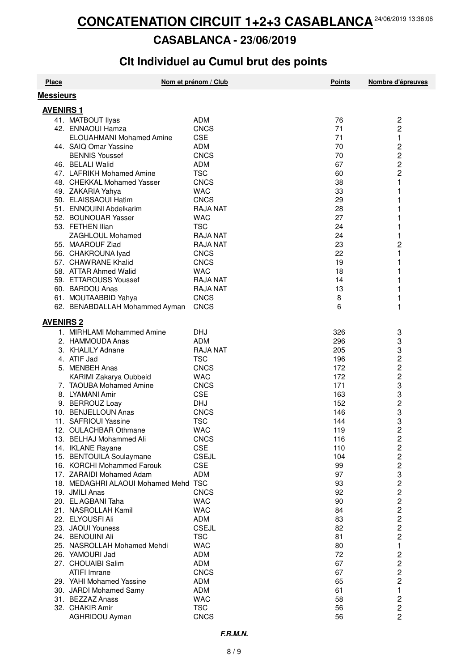#### **CASABLANCA - 23/06/2019**

## **Clt Individuel au Cumul brut des points**

| <b>Place</b>     |                                      | Nom et prénom / Club | <b>Points</b> | Nombre d'épreuves       |
|------------------|--------------------------------------|----------------------|---------------|-------------------------|
| <b>Messieurs</b> |                                      |                      |               |                         |
| <b>AVENIRS 1</b> |                                      |                      |               |                         |
|                  | 41. MATBOUT Ilyas                    | <b>ADM</b>           | 76            | 2                       |
|                  | 42. ENNAOUI Hamza                    | <b>CNCS</b>          | 71            | 2                       |
|                  | <b>ELOUAHMANI Mohamed Amine</b>      | <b>CSE</b>           | 71            | 1                       |
|                  | 44. SAIQ Omar Yassine                | <b>ADM</b>           | 70            |                         |
|                  | <b>BENNIS Youssef</b>                | <b>CNCS</b>          | 70            | 2<br>2<br>2<br>2        |
|                  | 46. BELALI Walid                     | <b>ADM</b>           | 67            |                         |
|                  | 47. LAFRIKH Mohamed Amine            | <b>TSC</b>           | 60            |                         |
|                  | 48. CHEKKAL Mohamed Yasser           | CNCS                 | 38            | 1                       |
|                  | 49. ZAKARIA Yahya                    | <b>WAC</b>           | 33            |                         |
|                  | 50. ELAISSAOUI Hatim                 | <b>CNCS</b>          | 29            |                         |
|                  |                                      |                      |               |                         |
|                  | 51. ENNOUINI Abdelkarim              | <b>RAJA NAT</b>      | 28<br>27      | 1                       |
|                  | 52. BOUNOUAR Yasser                  | <b>WAC</b>           |               |                         |
|                  | 53. FETHEN Ilian                     | <b>TSC</b>           | 24            |                         |
|                  | ZAGHLOUL Mohamed                     | <b>RAJA NAT</b>      | 24            | 1                       |
|                  | 55. MAAROUF Ziad                     | <b>RAJA NAT</b>      | 23            | $\overline{c}$          |
|                  | 56. CHAKROUNA lyad                   | <b>CNCS</b>          | 22            | 1                       |
|                  | 57. CHAWRANE Khalid                  | <b>CNCS</b>          | 19            |                         |
|                  | 58. ATTAR Ahmed Walid                | <b>WAC</b>           | 18            | 1                       |
|                  | 59. ETTAROUSS Youssef                | <b>RAJA NAT</b>      | 14            |                         |
|                  | 60. BARDOU Anas                      | <b>RAJA NAT</b>      | 13            | 1                       |
|                  | 61. MOUTAABBID Yahya                 | <b>CNCS</b>          | 8             | 1                       |
|                  | 62. BENABDALLAH Mohammed Ayman       | <b>CNCS</b>          | 6             | 1                       |
| <b>AVENIRS 2</b> |                                      |                      |               |                         |
|                  | 1. MIRHLAMI Mohammed Amine           | <b>DHJ</b>           | 326           | 3                       |
|                  | 2. HAMMOUDA Anas                     | <b>ADM</b>           | 296           | 3                       |
|                  | 3. KHALILY Adnane                    | <b>RAJA NAT</b>      | 205           | 3                       |
|                  | 4. ATIF Jad                          | <b>TSC</b>           | 196           | 2                       |
|                  |                                      |                      |               |                         |
|                  | 5. MENBEH Anas                       | <b>CNCS</b>          | 172           | 2                       |
|                  | KARIMI Zakarya Oubbeid               | <b>WAC</b>           | 172           | 2                       |
|                  | 7. TAOUBA Mohamed Amine              | <b>CNCS</b>          | 171           | 3                       |
|                  | 8. LYAMANI Amir                      | <b>CSE</b>           | 163           | 3                       |
|                  | 9. BERROUZ Loay                      | <b>DHJ</b>           | 152           | $\overline{\mathbf{c}}$ |
|                  | 10. BENJELLOUN Anas                  | <b>CNCS</b>          | 146           | 3                       |
|                  | 11. SAFRIOUI Yassine                 | <b>TSC</b>           | 144           | 3                       |
|                  | 12. OULACHBAR Othmane                | <b>WAC</b>           | 119           | 2                       |
|                  | 13. BELHAJ Mohammed Ali              | <b>CNCS</b>          | 116           | 2                       |
|                  | 14. IKLANE Rayane                    | <b>CSE</b>           | 110           | $\overline{\mathbf{c}}$ |
|                  | 15. BENTOUILA Soulaymane             | <b>CSEJL</b>         | 104           | $\overline{c}$          |
|                  | 16. KORCHI Mohammed Farouk           | <b>CSE</b>           | 99            | $\overline{\mathbf{c}}$ |
|                  | 17. ZARAIDI Mohamed Adam             | <b>ADM</b>           | 97            | 3                       |
|                  | 18. MEDAGHRI ALAOUI Mohamed Mehd TSC |                      | 93            | $\frac{2}{2}$           |
|                  | 19. JMILI Anas                       | <b>CNCS</b>          | 92            |                         |
|                  | 20. EL AGBANI Taha                   | <b>WAC</b>           | 90            | $\overline{\mathbf{c}}$ |
|                  | 21. NASROLLAH Kamil                  | <b>WAC</b>           | 84            | $\overline{\mathbf{c}}$ |
|                  | 22. ELYOUSFI Ali                     | <b>ADM</b>           | 83            | $\overline{c}$          |
|                  | 23. JAOUI Youness                    | <b>CSEJL</b>         | 82            | $\overline{c}$          |
|                  | 24. BENOUINI Ali                     | <b>TSC</b>           | 81            | $\overline{\mathbf{c}}$ |
|                  | 25. NASROLLAH Mohamed Mehdi          | <b>WAC</b>           | 80            | 1                       |
|                  | 26. YAMOURI Jad                      | <b>ADM</b>           | 72            | 2                       |
|                  | 27. CHOUAIBI Salim                   | ADM                  | 67            | $\overline{\mathbf{c}}$ |
|                  | <b>ATIFI Imrane</b>                  | <b>CNCS</b>          | 67            | $\overline{\mathbf{c}}$ |
|                  | 29. YAHI Mohamed Yassine             | <b>ADM</b>           | 65            | $\overline{c}$          |
|                  | 30. JARDI Mohamed Samy               | <b>ADM</b>           | 61            | 1                       |
|                  | 31. BEZZAZ Anass                     | <b>WAC</b>           | 58            | 2                       |
|                  | 32. CHAKIR Amir                      | <b>TSC</b>           | 56            | $\overline{\mathbf{c}}$ |
|                  | AGHRIDOU Ayman                       | <b>CNCS</b>          | 56            | $\overline{2}$          |
|                  |                                      |                      |               |                         |